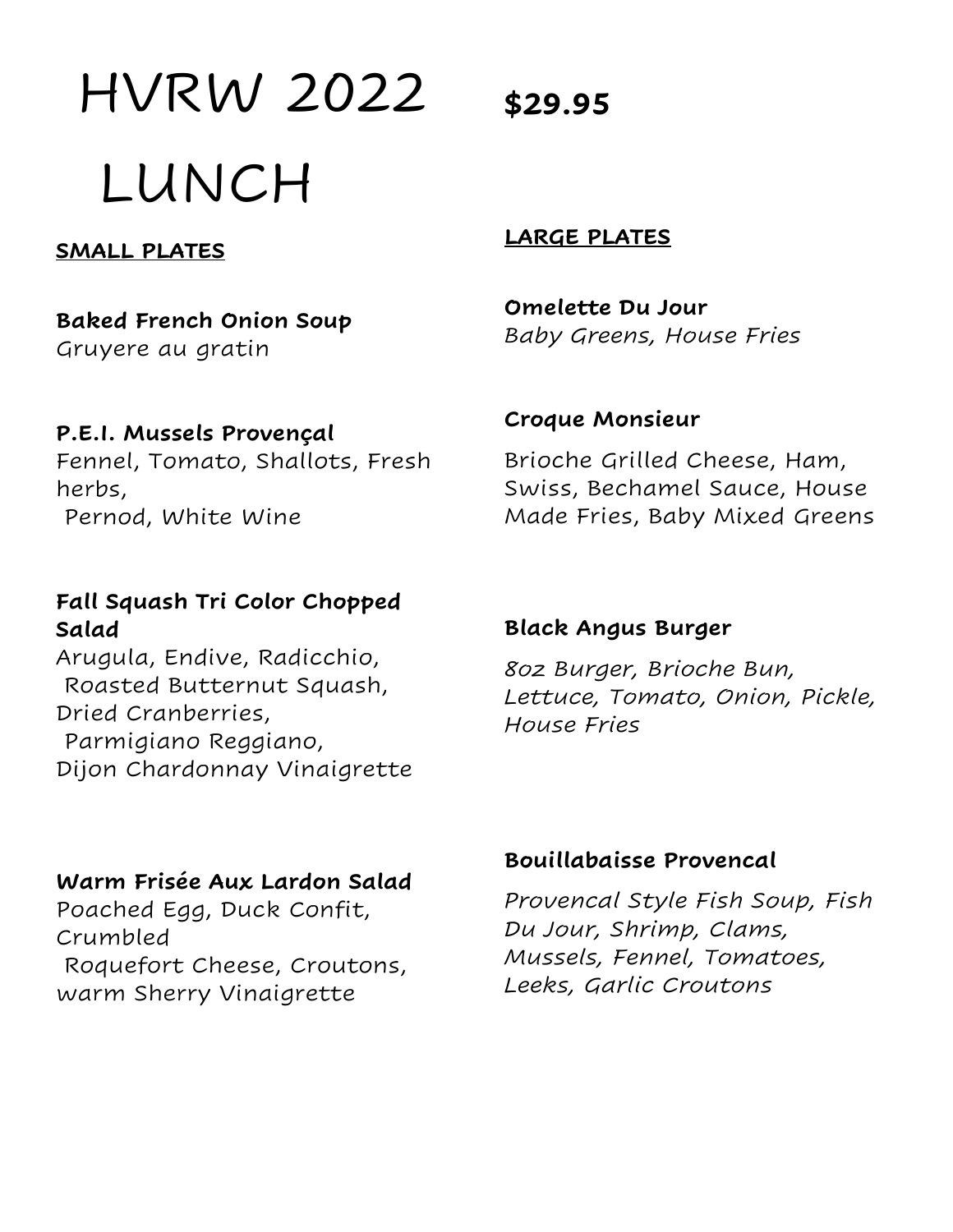HVRW 2022 LUNCH

**SMALL PLATES** 

**Baked French Onion Soup**  Gruyere au gratin

**P.E.I. Mussels Provençal**

Fennel, Tomato, Shallots, Fresh herbs, Pernod, White Wine

#### **Fall Squash Tri Color Chopped Salad**

Arugula, Endive, Radicchio, Roasted Butternut Squash, Dried Cranberries, Parmigiano Reggiano, Dijon Chardonnay Vinaigrette

#### **Warm Frisée Aux Lardon Salad**

Poached Egg, Duck Confit, Crumbled Roquefort Cheese, Croutons, warm Sherry Vinaigrette

#### **LARGE PLATES**

**Omelette Du Jour** *Baby Greens, House Fries* 

#### **Croque Monsieur**

Brioche Grilled Cheese, Ham, Swiss, Bechamel Sauce, House Made Fries, Baby Mixed Greens

#### **Black Angus Burger**

*8oz Burger, Brioche Bun, Lettuce, Tomato, Onion, Pickle, House Fries* 

#### **Bouillabaisse Provencal**

*Provencal Style Fish Soup, Fish Du Jour, Shrimp, Clams, Mussels, Fennel, Tomatoes, Leeks, Garlic Croutons* 

**\$29.95**